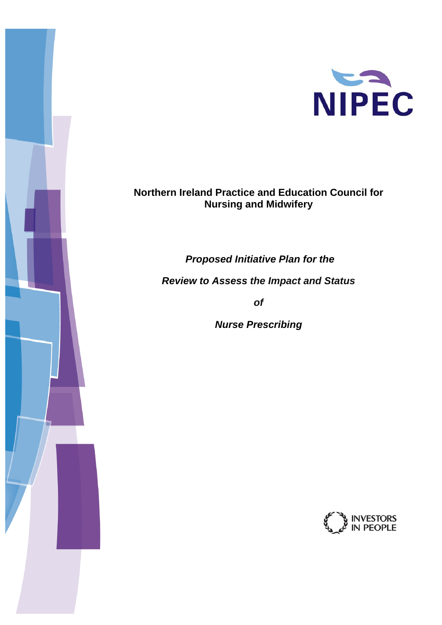

## **Northern Ireland Practice and Education Council for Nursing and Midwifery**

 *Proposed Initiative Plan for the* 

*Review to Assess the Impact and Status* 

*of* 

 *Nurse Prescribing* 

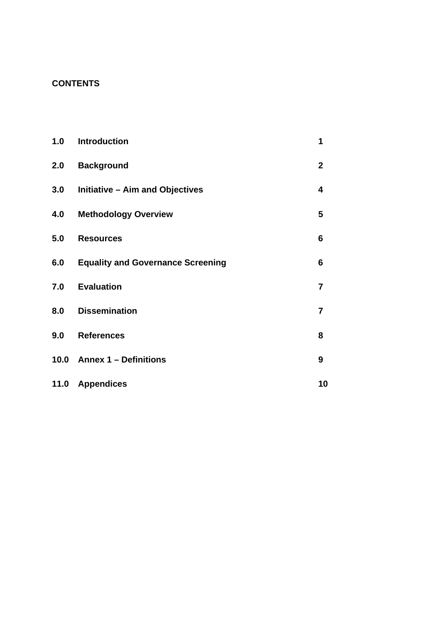## **CONTENTS**

| 1.0  | <b>Introduction</b>                      | 1              |
|------|------------------------------------------|----------------|
| 2.0  | <b>Background</b>                        | $\overline{2}$ |
| 3.0  | <b>Initiative - Aim and Objectives</b>   | 4              |
| 4.0  | <b>Methodology Overview</b>              | 5              |
| 5.0  | <b>Resources</b>                         | 6              |
| 6.0  | <b>Equality and Governance Screening</b> | 6              |
| 7.0  | <b>Evaluation</b>                        | $\overline{7}$ |
| 8.0  | <b>Dissemination</b>                     | $\overline{7}$ |
| 9.0  | <b>References</b>                        | 8              |
| 10.0 | <b>Annex 1 - Definitions</b>             | 9              |
| 11.0 | <b>Appendices</b>                        | 10             |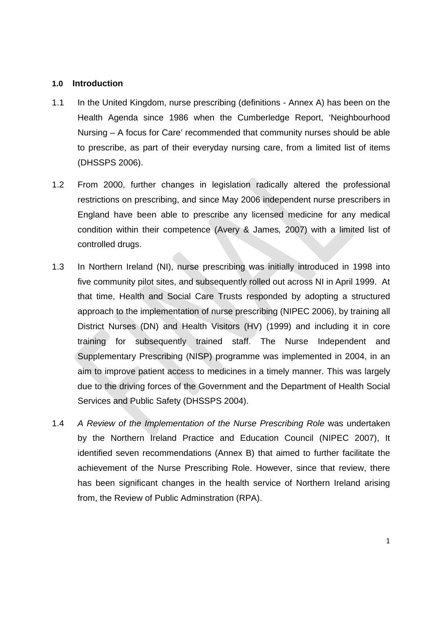### **1.0 Introduction**

- 1.1 In the United Kingdom, nurse prescribing (definitions Annex A) has been on the Health Agenda since 1986 when the Cumberledge Report, 'Neighbourhood Nursing – A focus for Care' recommended that community nurses should be able to prescribe, as part of their everyday nursing care, from a limited list of items (DHSSPS 2006).
- 1.2 From 2000, further changes in legislation radically altered the professional restrictions on prescribing, and since May 2006 independent nurse prescribers in England have been able to prescribe any licensed medicine for any medical condition within their competence (Avery & James*,* 2007) with a limited list of controlled drugs.
- 1.3 In Northern Ireland (NI), nurse prescribing was initially introduced in 1998 into five community pilot sites, and subsequently rolled out across NI in April 1999. At that time, Health and Social Care Trusts responded by adopting a structured approach to the implementation of nurse prescribing (NIPEC 2006), by training all District Nurses (DN) and Health Visitors (HV) (1999) and including it in core training for subsequently trained staff. The Nurse Independent and Supplementary Prescribing (NISP) programme was implemented in 2004, in an aim to improve patient access to medicines in a timely manner. This was largely due to the driving forces of the Government and the Department of Health Social Services and Public Safety (DHSSPS 2004).
- 1.4 *A Review of the Implementation of the Nurse Prescribing Role* was undertaken by the Northern Ireland Practice and Education Council (NIPEC 2007), It identified seven recommendations (Annex B) that aimed to further facilitate the achievement of the Nurse Prescribing Role. However, since that review, there has been significant changes in the health service of Northern Ireland arising from, the Review of Public Adminstration (RPA).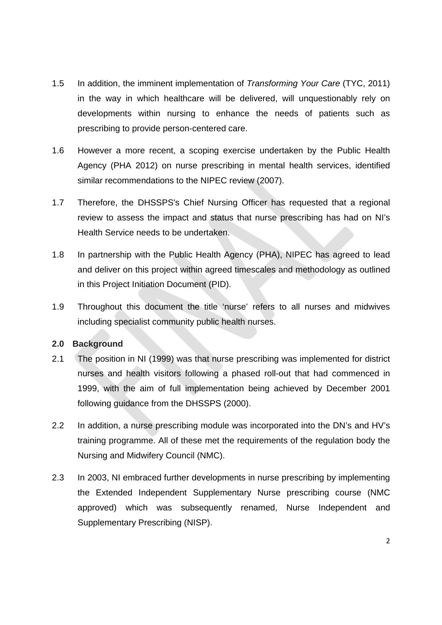- 1.5 In addition, the imminent implementation of *Transforming Your Care* (TYC, 2011) in the way in which healthcare will be delivered, will unquestionably rely on developments within nursing to enhance the needs of patients such as prescribing to provide person-centered care.
- 1.6 However a more recent, a scoping exercise undertaken by the Public Health Agency (PHA 2012) on nurse prescribing in mental health services, identified similar recommendations to the NIPEC review (2007).
- 1.7 Therefore, the DHSSPS's Chief Nursing Officer has requested that a regional review to assess the impact and status that nurse prescribing has had on NI's Health Service needs to be undertaken.
- 1.8 In partnership with the Public Health Agency (PHA), NIPEC has agreed to lead and deliver on this project within agreed timescales and methodology as outlined in this Project Initiation Document (PID).
- 1.9 Throughout this document the title 'nurse' refers to all nurses and midwives including specialist community public health nurses.

**2.0 Background** 

- 2.1 The position in NI (1999) was that nurse prescribing was implemented for district nurses and health visitors following a phased roll-out that had commenced in 1999, with the aim of full implementation being achieved by December 2001 following guidance from the DHSSPS (2000).
- 2.2 In addition, a nurse prescribing module was incorporated into the DN's and HV's training programme. All of these met the requirements of the regulation body the Nursing and Midwifery Council (NMC).
- 2.3 In 2003, NI embraced further developments in nurse prescribing by implementing the Extended Independent Supplementary Nurse prescribing course (NMC approved) which was subsequently renamed, Nurse Independent and Supplementary Prescribing (NISP).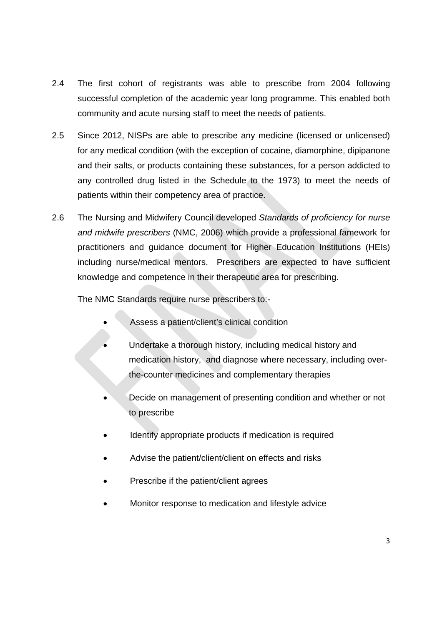- 2.4 The first cohort of registrants was able to prescribe from 2004 following successful completion of the academic year long programme. This enabled both community and acute nursing staff to meet the needs of patients.
- 2.5 Since 2012, NISPs are able to prescribe any medicine (licensed or unlicensed) for any medical condition (with the exception of cocaine, diamorphine, dipipanone and their salts, or products containing these substances, for a person addicted to any controlled drug listed in the Schedule to the 1973) to meet the needs of patients within their competency area of practice.
- 2.6 The Nursing and Midwifery Council developed *Standards of proficiency for nurse and midwife prescribers* (NMC, 2006) which provide a professional famework for practitioners and guidance document for Higher Education Institutions (HEIs) including nurse/medical mentors. Prescribers are expected to have sufficient knowledge and competence in their therapeutic area for prescribing.

The NMC Standards require nurse prescribers to:-

- Assess a patient/client's clinical condition
- Undertake a thorough history, including medical history and medication history, and diagnose where necessary, including overthe-counter medicines and complementary therapies
- Decide on management of presenting condition and whether or not to prescribe
- Identify appropriate products if medication is required
- Advise the patient/client/client on effects and risks
- Prescribe if the patient/client agrees
- Monitor response to medication and lifestyle advice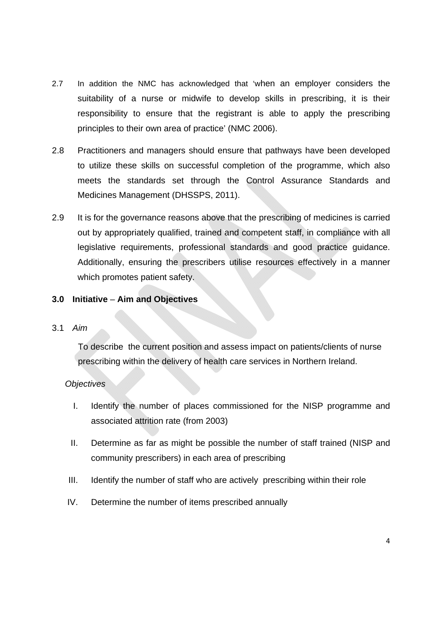- 2.7 In addition the NMC has acknowledged that 'when an employer considers the suitability of a nurse or midwife to develop skills in prescribing, it is their responsibility to ensure that the registrant is able to apply the prescribing principles to their own area of practice' (NMC 2006).
- 2.8 Practitioners and managers should ensure that pathways have been developed to utilize these skills on successful completion of the programme, which also meets the standards set through the Control Assurance Standards and Medicines Management (DHSSPS, 2011).
- 2.9 It is for the governance reasons above that the prescribing of medicines is carried out by appropriately qualified, trained and competent staff, in compliance with all legislative requirements, professional standards and good practice guidance. Additionally, ensuring the prescribers utilise resources effectively in a manner which promotes patient safety.

## **3.0 Initiative** – **Aim and Objectives**

### 3.1 *Aim*

To describe the current position and assess impact on patients/clients of nurse prescribing within the delivery of health care services in Northern Ireland.

### *Objectives*

- I. Identify the number of places commissioned for the NISP programme and associated attrition rate (from 2003)
- II. Determine as far as might be possible the number of staff trained (NISP and community prescribers) in each area of prescribing
- III. Identify the number of staff who are actively prescribing within their role
- IV. Determine the number of items prescribed annually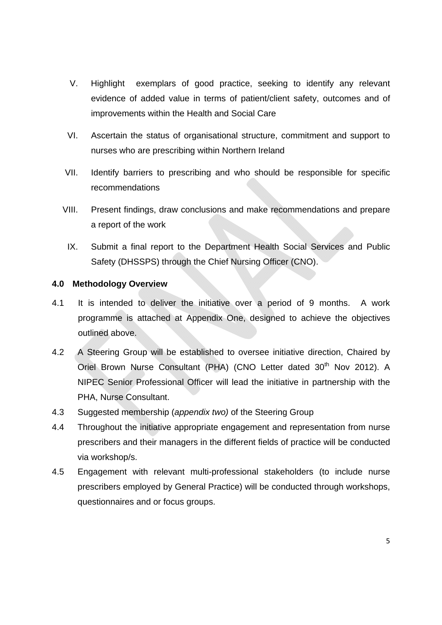- V. Highlight exemplars of good practice, seeking to identify any relevant evidence of added value in terms of patient/client safety, outcomes and of improvements within the Health and Social Care
- VI. Ascertain the status of organisational structure, commitment and support to nurses who are prescribing within Northern Ireland
- VII. Identify barriers to prescribing and who should be responsible for specific recommendations
- VIII. Present findings, draw conclusions and make recommendations and prepare a report of the work
	- IX. Submit a final report to the Department Health Social Services and Public Safety (DHSSPS) through the Chief Nursing Officer (CNO).

## **4.0 Methodology Overview**

- 4.1 It is intended to deliver the initiative over a period of 9 months. A work programme is attached at Appendix One, designed to achieve the objectives outlined above.
- 4.2 A Steering Group will be established to oversee initiative direction, Chaired by Oriel Brown Nurse Consultant (PHA) (CNO Letter dated 30<sup>th</sup> Nov 2012). A NIPEC Senior Professional Officer will lead the initiative in partnership with the PHA, Nurse Consultant.
- 4.3 Suggested membership (*appendix two)* of the Steering Group
- 4.4 Throughout the initiative appropriate engagement and representation from nurse prescribers and their managers in the different fields of practice will be conducted via workshop/s.
- 4.5 Engagement with relevant multi-professional stakeholders (to include nurse prescribers employed by General Practice) will be conducted through workshops, questionnaires and or focus groups.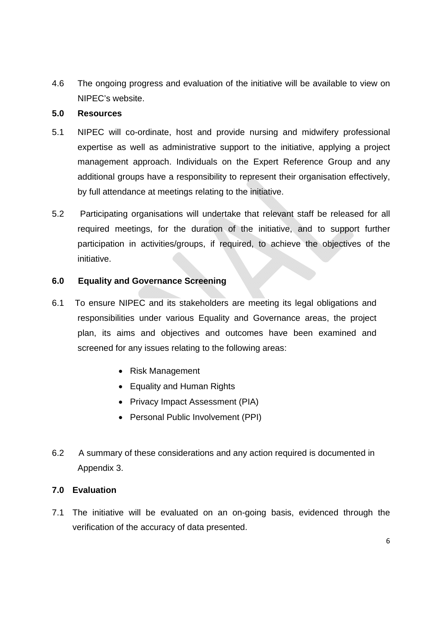4.6 The ongoing progress and evaluation of the initiative will be available to view on NIPEC's website.

## **5.0 Resources**

- 5.1 NIPEC will co-ordinate, host and provide nursing and midwifery professional expertise as well as administrative support to the initiative, applying a project management approach. Individuals on the Expert Reference Group and any additional groups have a responsibility to represent their organisation effectively, by full attendance at meetings relating to the initiative.
- 5.2 Participating organisations will undertake that relevant staff be released for all required meetings, for the duration of the initiative, and to support further participation in activities/groups, if required, to achieve the objectives of the initiative.

## **6.0 Equality and Governance Screening**

- 6.1 To ensure NIPEC and its stakeholders are meeting its legal obligations and responsibilities under various Equality and Governance areas, the project plan, its aims and objectives and outcomes have been examined and screened for any issues relating to the following areas:
	- Risk Management
	- Equality and Human Rights
	- Privacy Impact Assessment (PIA)
	- Personal Public Involvement (PPI)
- 6.2 A summary of these considerations and any action required is documented in Appendix 3.

## **7.0 Evaluation**

7.1 The initiative will be evaluated on an on-going basis, evidenced through the verification of the accuracy of data presented.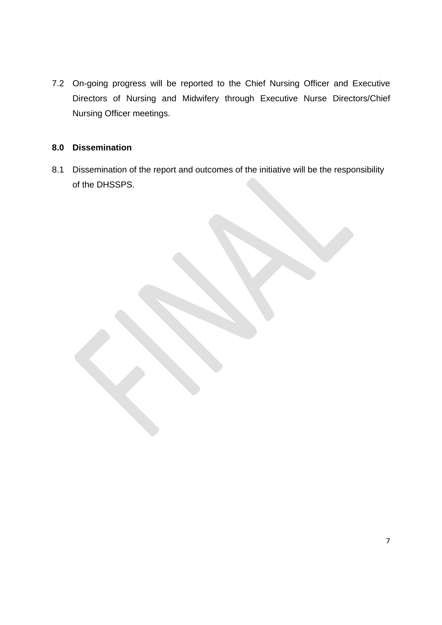7.2 On-going progress will be reported to the Chief Nursing Officer and Executive Directors of Nursing and Midwifery through Executive Nurse Directors/Chief Nursing Officer meetings.

## **8.0 Dissemination**

8.1 Dissemination of the report and outcomes of the initiative will be the responsibility of the DHSSPS.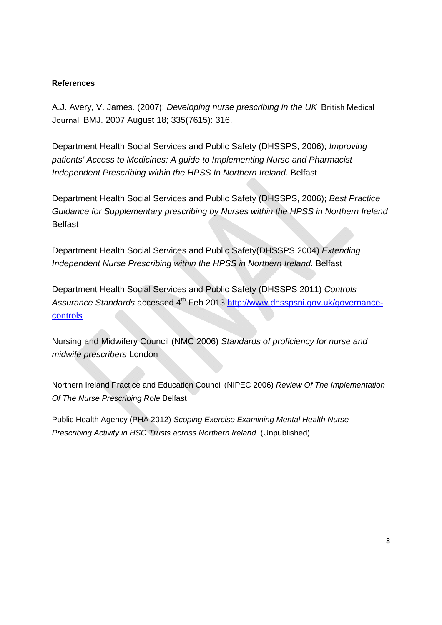### **References**

A.J. Avery*,* V. James*,* (2007**)**; *Developing nurse prescribing in the UK* British Medical Journal BMJ. 2007 August 18; 335(7615): 316.

Department Health Social Services and Public Safety (DHSSPS, 2006); *Improving patients' Access to Medicines: A guide to Implementing Nurse and Pharmacist Independent Prescribing within the HPSS In Northern Ireland*. Belfast

Department Health Social Services and Public Safety (DHSSPS, 2006); *Best Practice Guidance for Supplementary prescribing by Nurses within the HPSS in Northern Ireland* Belfast

Department Health Social Services and Public Safety(DHSSPS 2004) *Extending Independent Nurse Prescribing within the HPSS in Northern Ireland*. Belfast

Department Health Social Services and Public Safety (DHSSPS 2011) *Controls*  Assurance Standards accessed 4<sup>th</sup> Feb 2013 http://www.dhsspsni.gov.uk/governance**controls** 

Nursing and Midwifery Council (NMC 2006) *Standards of proficiency for nurse and midwife prescribers* London

Northern Ireland Practice and Education Council (NIPEC 2006) *Review Of The Implementation Of The Nurse Prescribing Role* Belfast

Public Health Agency (PHA 2012) *Scoping Exercise Examining Mental Health Nurse Prescribing Activity in HSC Trusts across Northern Ireland* (Unpublished)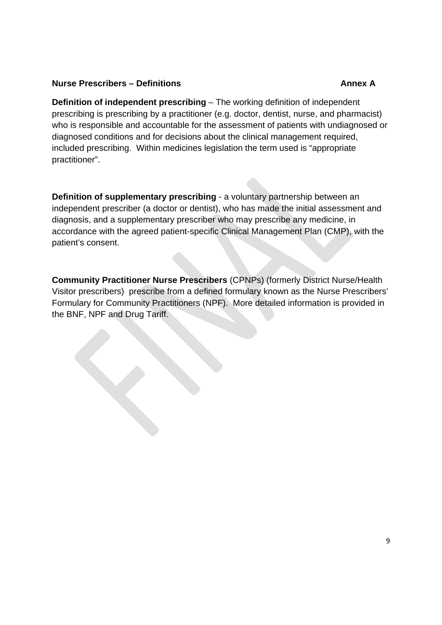## **Nurse Prescribers – Definitions Annex A Annex A**

**Definition of independent prescribing** – The working definition of independent prescribing is prescribing by a practitioner (e.g. doctor, dentist, nurse, and pharmacist) who is responsible and accountable for the assessment of patients with undiagnosed or diagnosed conditions and for decisions about the clinical management required, included prescribing. Within medicines legislation the term used is "appropriate practitioner".

**Definition of supplementary prescribing** - a voluntary partnership between an independent prescriber (a doctor or dentist), who has made the initial assessment and diagnosis, and a supplementary prescriber who may prescribe any medicine, in accordance with the agreed patient-specific Clinical Management Plan (CMP), with the patient's consent.

**Community Practitioner Nurse Prescribers** (CPNPs) (formerly District Nurse/Health Visitor prescribers) prescribe from a defined formulary known as the Nurse Prescribers' Formulary for Community Practitioners (NPF). More detailed information is provided in the BNF, NPF and Drug Tariff.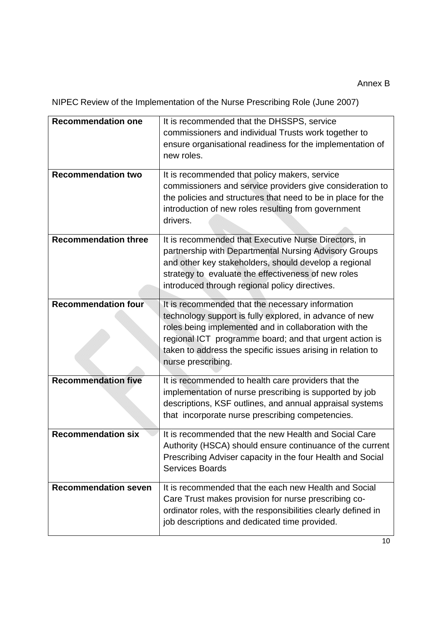NIPEC Review of the Implementation of the Nurse Prescribing Role (June 2007)

| <b>Recommendation one</b><br><b>Recommendation two</b> | It is recommended that the DHSSPS, service<br>commissioners and individual Trusts work together to<br>ensure organisational readiness for the implementation of<br>new roles.<br>It is recommended that policy makers, service<br>commissioners and service providers give consideration to<br>the policies and structures that need to be in place for the<br>introduction of new roles resulting from government<br>drivers. |
|--------------------------------------------------------|--------------------------------------------------------------------------------------------------------------------------------------------------------------------------------------------------------------------------------------------------------------------------------------------------------------------------------------------------------------------------------------------------------------------------------|
| <b>Recommendation three</b>                            | It is recommended that Executive Nurse Directors, in<br>partnership with Departmental Nursing Advisory Groups<br>and other key stakeholders, should develop a regional<br>strategy to evaluate the effectiveness of new roles<br>introduced through regional policy directives.                                                                                                                                                |
| <b>Recommendation four</b>                             | It is recommended that the necessary information<br>technology support is fully explored, in advance of new<br>roles being implemented and in collaboration with the<br>regional ICT programme board; and that urgent action is<br>taken to address the specific issues arising in relation to<br>nurse prescribing.                                                                                                           |
| <b>Recommendation five</b>                             | It is recommended to health care providers that the<br>implementation of nurse prescribing is supported by job<br>descriptions, KSF outlines, and annual appraisal systems<br>that incorporate nurse prescribing competencies.                                                                                                                                                                                                 |
| <b>Recommendation six</b>                              | It is recommended that the new Health and Social Care<br>Authority (HSCA) should ensure continuance of the current<br>Prescribing Adviser capacity in the four Health and Social<br><b>Services Boards</b>                                                                                                                                                                                                                     |
| <b>Recommendation seven</b>                            | It is recommended that the each new Health and Social<br>Care Trust makes provision for nurse prescribing co-<br>ordinator roles, with the responsibilities clearly defined in<br>job descriptions and dedicated time provided.                                                                                                                                                                                                |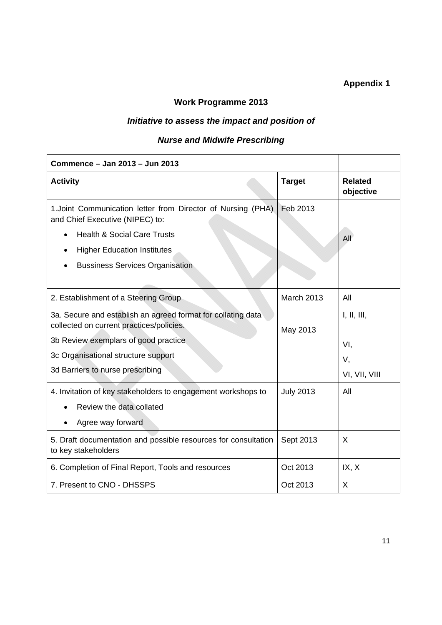## **Appendix 1**

## **Work Programme 2013**

## *Initiative to assess the impact and position of*

## *Nurse and Midwife Prescribing*

| Commence - Jan 2013 - Jun 2013                                                                           |                  |                             |
|----------------------------------------------------------------------------------------------------------|------------------|-----------------------------|
| <b>Activity</b>                                                                                          | <b>Target</b>    | <b>Related</b><br>objective |
| 1. Joint Communication letter from Director of Nursing (PHA)<br>and Chief Executive (NIPEC) to:          | Feb 2013         |                             |
| <b>Health &amp; Social Care Trusts</b>                                                                   |                  | All                         |
| <b>Higher Education Institutes</b>                                                                       |                  |                             |
| <b>Bussiness Services Organisation</b>                                                                   |                  |                             |
|                                                                                                          |                  |                             |
| 2. Establishment of a Steering Group                                                                     | March 2013       | All                         |
| 3a. Secure and establish an agreed format for collating data<br>collected on current practices/policies. | May 2013         | I, II, III,                 |
| 3b Review exemplars of good practice                                                                     |                  | VI.                         |
| 3c Organisational structure support                                                                      |                  | V,                          |
| 3d Barriers to nurse prescribing                                                                         |                  | VI, VII, VIII               |
| 4. Invitation of key stakeholders to engagement workshops to                                             | <b>July 2013</b> | All                         |
| Review the data collated                                                                                 |                  |                             |
| Agree way forward                                                                                        |                  |                             |
| 5. Draft documentation and possible resources for consultation<br>to key stakeholders                    | Sept 2013        | X                           |
| 6. Completion of Final Report, Tools and resources                                                       | Oct 2013         | IX, X                       |
| 7. Present to CNO - DHSSPS                                                                               | Oct 2013         | X                           |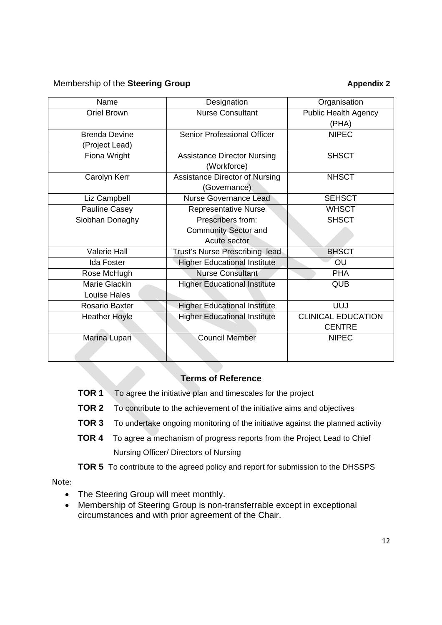## Membership of the **Steering Group Appendix 2 Appendix 2**

| Name                 | Designation                         | Organisation                |
|----------------------|-------------------------------------|-----------------------------|
| Oriel Brown          | <b>Nurse Consultant</b>             | <b>Public Health Agency</b> |
|                      |                                     | (PHA)                       |
| <b>Brenda Devine</b> | <b>Senior Professional Officer</b>  | <b>NIPEC</b>                |
| (Project Lead)       |                                     |                             |
| Fiona Wright         | <b>Assistance Director Nursing</b>  | <b>SHSCT</b>                |
|                      | (Workforce)                         |                             |
| Carolyn Kerr         | Assistance Director of Nursing      | <b>NHSCT</b>                |
|                      | (Governance)                        |                             |
| Liz Campbell         | <b>Nurse Governance Lead</b>        | <b>SEHSCT</b>               |
| Pauline Casey        | <b>Representative Nurse</b>         | <b>WHSCT</b>                |
| Siobhan Donaghy      | Prescribers from:                   | <b>SHSCT</b>                |
|                      | <b>Community Sector and</b>         |                             |
|                      | Acute sector                        |                             |
| <b>Valerie Hall</b>  | Trust's Nurse Prescribing lead      | <b>BHSCT</b>                |
| <b>Ida Foster</b>    | <b>Higher Educational Institute</b> | OU                          |
| Rose McHugh          | <b>Nurse Consultant</b>             | <b>PHA</b>                  |
| Marie Glackin        | <b>Higher Educational Institute</b> | <b>QUB</b>                  |
| Louise Hales         |                                     |                             |
| Rosario Baxter       | <b>Higher Educational Institute</b> | <b>UUJ</b>                  |
| <b>Heather Hoyle</b> | <b>Higher Educational Institute</b> | <b>CLINICAL EDUCATION</b>   |
|                      |                                     | <b>CENTRE</b>               |
| Marina Lupari        | <b>Council Member</b>               | <b>NIPEC</b>                |
|                      |                                     |                             |
|                      |                                     |                             |

## **Terms of Reference**

- **TOR 1** To agree the initiative plan and timescales for the project
- **TOR 2** To contribute to the achievement of the initiative aims and objectives
- **TOR 3** To undertake ongoing monitoring of the initiative against the planned activity
- **TOR 4** To agree a mechanism of progress reports from the Project Lead to Chief Nursing Officer/ Directors of Nursing
- **TOR 5** To contribute to the agreed policy and report for submission to the DHSSPS

### Note:

- The Steering Group will meet monthly.
- Membership of Steering Group is non-transferrable except in exceptional circumstances and with prior agreement of the Chair.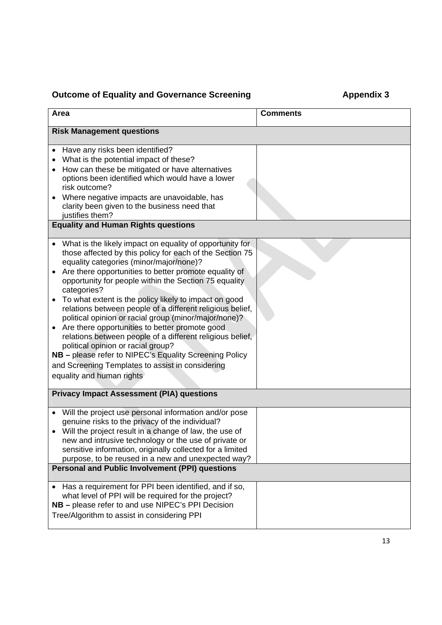# **Outcome of Equality and Governance Screening Theorem Appendix 3**

| Area                                                                                                                                                                                                                                                                                                                                                                                                                                                                                                                                                                                                                                                                                                                                                                            | <b>Comments</b> |  |  |  |
|---------------------------------------------------------------------------------------------------------------------------------------------------------------------------------------------------------------------------------------------------------------------------------------------------------------------------------------------------------------------------------------------------------------------------------------------------------------------------------------------------------------------------------------------------------------------------------------------------------------------------------------------------------------------------------------------------------------------------------------------------------------------------------|-----------------|--|--|--|
| <b>Risk Management questions</b>                                                                                                                                                                                                                                                                                                                                                                                                                                                                                                                                                                                                                                                                                                                                                |                 |  |  |  |
| Have any risks been identified?<br>What is the potential impact of these?<br>How can these be mitigated or have alternatives<br>options been identified which would have a lower<br>risk outcome?<br>Where negative impacts are unavoidable, has<br>clarity been given to the business need that<br>justifies them?<br><b>Equality and Human Rights questions</b>                                                                                                                                                                                                                                                                                                                                                                                                               |                 |  |  |  |
| What is the likely impact on equality of opportunity for<br>those affected by this policy for each of the Section 75<br>equality categories (minor/major/none)?<br>Are there opportunities to better promote equality of<br>opportunity for people within the Section 75 equality<br>categories?<br>To what extent is the policy likely to impact on good<br>relations between people of a different religious belief,<br>political opinion or racial group (minor/major/none)?<br>Are there opportunities to better promote good<br>relations between people of a different religious belief,<br>political opinion or racial group?<br>NB - please refer to NIPEC's Equality Screening Policy<br>and Screening Templates to assist in considering<br>equality and human rights |                 |  |  |  |
| <b>Privacy Impact Assessment (PIA) questions</b>                                                                                                                                                                                                                                                                                                                                                                                                                                                                                                                                                                                                                                                                                                                                |                 |  |  |  |
| Will the project use personal information and/or pose<br>genuine risks to the privacy of the individual?<br>Will the project result in a change of law, the use of<br>new and intrusive technology or the use of private or<br>sensitive information, originally collected for a limited<br>purpose, to be reused in a new and unexpected way?                                                                                                                                                                                                                                                                                                                                                                                                                                  |                 |  |  |  |
| <b>Personal and Public Involvement (PPI) questions</b>                                                                                                                                                                                                                                                                                                                                                                                                                                                                                                                                                                                                                                                                                                                          |                 |  |  |  |
| • Has a requirement for PPI been identified, and if so,<br>what level of PPI will be required for the project?<br>NB - please refer to and use NIPEC's PPI Decision<br>Tree/Algorithm to assist in considering PPI                                                                                                                                                                                                                                                                                                                                                                                                                                                                                                                                                              |                 |  |  |  |